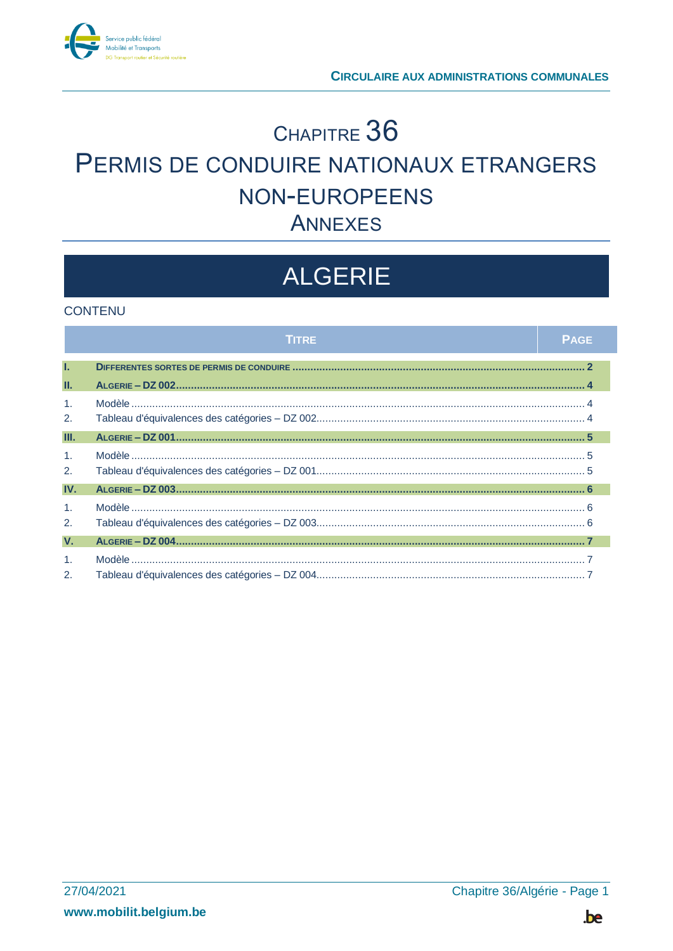

# CHAPITRE 36 PERMIS DE CONDUIRE NATIONAUX ETRANGERS NON-EUROPEENS **ANNEXES**

# **ALGERIE**

### **CONTENU**

|                                               | <b>TITRE</b> | <b>PAGE</b> |
|-----------------------------------------------|--------------|-------------|
| T.                                            |              |             |
| Ш.                                            |              |             |
| $\mathbf{1}$ .<br>2.                          |              |             |
| Ш.                                            |              |             |
| $\mathbf{1}$ .<br>2.                          |              |             |
| IV.                                           |              |             |
| $\mathbf{1}$ .<br>2.                          |              |             |
| V.                                            |              |             |
| 1 <sub>1</sub><br>$\mathcal{P}_{\mathcal{P}}$ |              |             |

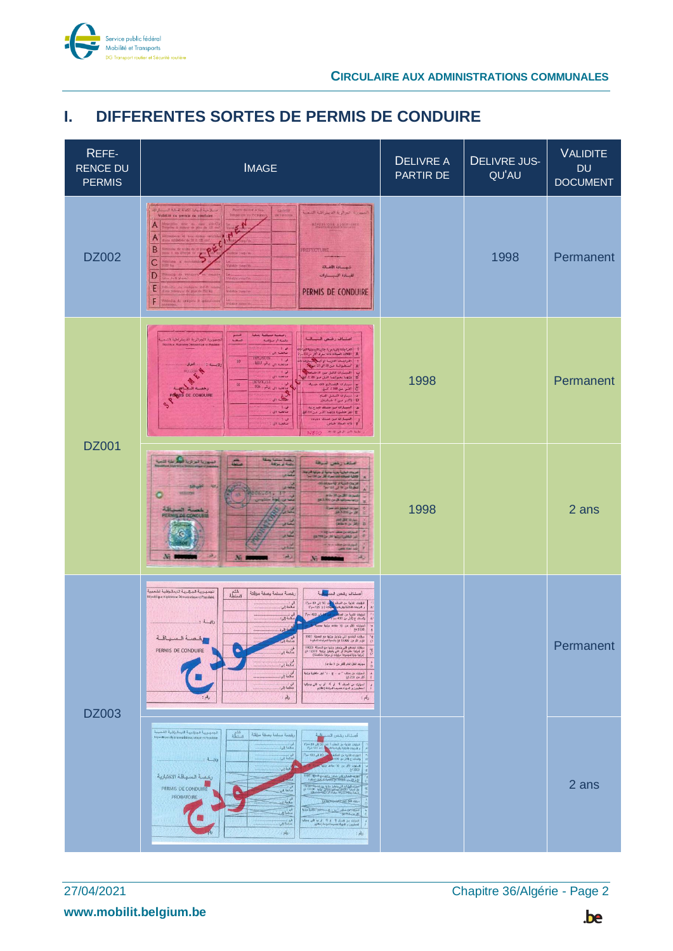

### <span id="page-1-0"></span>**I. DIFFERENTES SORTES DE PERMIS DE CONDUIRE**

| REFE-<br><b>RENCE DU</b><br><b>PERMIS</b> | <b>IMAGE</b>                                                                                                                                                                                                                                                                                                                                                                                                                                                                                                                                                                                                                                                                                                                                                                                                                                                                                                                                                                                                                                                                                                                                                                                                                                                                            | <b>DELIVRE A</b><br>PARTIR DE | <b>DELIVRE JUS-</b><br>QU'AU | <b>VALIDITE</b><br><b>DU</b><br><b>DOCUMENT</b> |
|-------------------------------------------|-----------------------------------------------------------------------------------------------------------------------------------------------------------------------------------------------------------------------------------------------------------------------------------------------------------------------------------------------------------------------------------------------------------------------------------------------------------------------------------------------------------------------------------------------------------------------------------------------------------------------------------------------------------------------------------------------------------------------------------------------------------------------------------------------------------------------------------------------------------------------------------------------------------------------------------------------------------------------------------------------------------------------------------------------------------------------------------------------------------------------------------------------------------------------------------------------------------------------------------------------------------------------------------------|-------------------------------|------------------------------|-------------------------------------------------|
| <b>DZ002</b>                              | سلاحية فبهادة الكفالة لقبادة المستقرات<br>Pennis dally of a ting<br>CACHET<br>لجنهورية الجرائرية الديمراطية الشعبية<br>Validità du permis de conduire<br><b>Dimporate ou Porner</b><br><b>REPUBLIQUE ADDÉNIEREE</b><br>Α<br>$\overline{A}$<br>B<br><b>PREFECTURE</b><br>$\overline{C}$<br>شمسانة الكلسانة<br>D<br>لقسادة السيسسارات<br>E<br>PERMIS DE CONDUIRE<br>F<br>Nicolas de cotégurio B spécia                                                                                                                                                                                                                                                                                                                                                                                                                                                                                                                                                                                                                                                                                                                                                                                                                                                                                    |                               | 1998                         | Permanent                                       |
|                                           | أرضعته مسلمة يملية<br>خشع<br>اصتباف رختص السيسالية<br>عورية الجواثرية الدينقراطية ال<br>سنند<br>دانسه از میولفه<br>$1 - \mu$<br>أ التراجات اجار بة عربة جانبية اربدونها ك<br>مالغة ال<br>A   الثلاثية الفجلات ذات معرك أكثر من 135<br>الداجيك التزمة أو أينا السابقة.<br>السطوانية من 18 الر18 سيابا.<br>$10\,$<br>$1412 - 32 - 31$ and let<br>ولايسته و<br><mark>. البيسارات الافتل من «ا باسات</mark><br>$\overline{a}$<br>منالحية ال<br>B وزنها بحواتها البل من 3,500<br>1973/31/13<br>سيناوان التصناليع ذانه مدبولة<br>ان ا<br>$01\,$<br>ج اسر سن 350 سمع.<br>ح<br>صالحته ال إرقم 208<br>$n = 3$<br><b>S DE CONDUIRE</b><br>ف أستنارات الشعل العنام<br>D - واكثير مين 9 طيامية).<br>هـ   البينارات من منتقد البرج.60<br>نی :<br>منافعة الل<br>E   نجر مقضورة وزنهنا اكثير مين 780 كغ<br>  النيبذان من مسئلا ودياوو<br>$1 - \omega$<br>صافحية الن:<br>F ذات البداد خناص.<br>N800 === Wallace                                                                                                                                                                                                                                                                                                                                                                                         | 1998                          |                              | Permanent                                       |
| <b>DZ001</b>                              | بسورية تمزيرية المكربانة التمية<br>الدائر المستويات<br>والمحافظة<br>zione alla<br>استغارتهن لبيطة<br>side<br>کمریوند شماریهٔ بهرینهٔ بدنیهٔ از موتوبا کمرتو<br>الکاکیهٔ کمیکانه شده سراه کار من اداک سه<br>محدد مرياء للسيمانه<br>تنونا بر « بي بيان»<br>$20 -$<br><b>Allegal AV.</b><br>IJ<br><b>RESIDENT</b><br>c<br>ards Management<br>SEANO OF SHIPPINGS<br>استعددن<br>i.<br>all in<br>13704<br>لمنابع<br><b>War Car Diffit</b><br>لمحامد<br><b>CONTRACT OF REAL PROPERTY</b><br>يتبدى<br>$\frac{1}{2}$<br>$N_{2}$<br>SS.<br>N:<br><b>North</b>                                                                                                                                                                                                                                                                                                                                                                                                                                                                                                                                                                                                                                                                                                                                     | 1998                          |                              | 2 ans                                           |
| <b>DZ003</b>                              | لجمهورية الجزائرية التبمقراطية تشميية<br>السلطة<br>رخصة مسلمة بصفة مزقتة<br>أصفاف رفص الس <mark>بان</mark> ية<br>République Algérienne Démocratique et Populain<br>النزاجات الثانية من الصنف في 30 إلى 80 سم <sup>2</sup> )<br>و التزاجات الثانية والرياضة المحكمات ( 125 سم <sup>2</sup> )<br>اس<br>منالغة إلى:<br>النزليات الثارية من المنظمين<br>والصنف ج (أكثر من 400 سم <sup>)</sup><br>400<br>اس :<br>صالحة إلى:<br>A <sup>2</sup><br>$: 2y_1$<br>السولات الألل من 10 مقاط ويقية بعد <mark>ل</mark><br>3500 كغ<br>.<br>سيارات البشائع التي يتجاوز ونتها مع الصوتة. 3500<br>كغ و الل من 19000 كغ بالنسبة للمرتعات المتلورة<br>$\frac{1}{\alpha}$<br>الخصة المسياقة<br><b>CENTER</b><br>ميؤل نيشانغ التي يتواول وزنها مع المعرفة 19000<br>كغ لعرابية مقومة) أي اللي يتجاول وزنها<br> مراتبة جارة لمجموعة مركبات أو مراتبة متعاصلة)<br>في .<br>منالجة إلى :<br>PERMIS DE CONDUIRE<br>$\tilde{c}$<br>٠<br>لجي<br>صالحة (لن:<br>$\frac{s}{D}$<br>موارك الثقل العام (أكثر من 9 مقاعد)<br>لي :<br>صالحة إلى:<br>.<br>الموازنة من مثلاء ** ب + ج + 2* ثور مقتررة وزاوة<br>أكر من 750 مئ<br>$\frac{1}{n}$<br>-------<br>.<br>الموازن عن الصلف أ <sup>و</sup> أو ألا أو ب التي يموقها<br>المعلوين و المهاة كميسا لمراعاة إعلانهم<br>أي<br>صالحة إلى:<br>$\frac{1}{n}$<br>A<br>$\mathcal{A}$ |                               |                              | Permanent                                       |
|                                           | الجمهورية الجزنبرية النيمقرإطية الشميبية<br>الطلة<br>الخصة مسلمة بصلة مزقتة<br>أصناف رخص السيافية<br>République Algérienne Démocratique et Populaire<br>the solution of the content of the state<br>ال<br>معنا ابن<br><b>LEWIS CONTRACTOR</b><br>المحافظ<br>-00 1 80<br>$-1 - Ns$<br>والمنقدح الكرادي 00<br>.<br>وفيلة إلى:<br>رخصة المبهاقة الاختبارية<br><b>COOP EACH ROUNDAY OF BUILDING COOPERATION</b><br>1900 - In als an Albany and a shell be a state of the state of the state of the state of<br>فكبين<br>PERMIS DE CONDUIRE<br>PROBATOIRE<br>لی<br>منالحه اے<br><b>Collaboration of the col-</b><br><b>Links</b><br>the fact of the second control of the<br>السوارات من المنك 11 . أو 11 . أو مه التي ومواه<br>المعلويون و المهياة لمعيننا لمراجاة إمكاني<br>د.<br>سانسه بایی:<br>$\rightarrow$ $\mu \bar{b}$                                                                                                                                                                                                                                                                                                                                                                                                                                                               |                               |                              | 2 ans                                           |

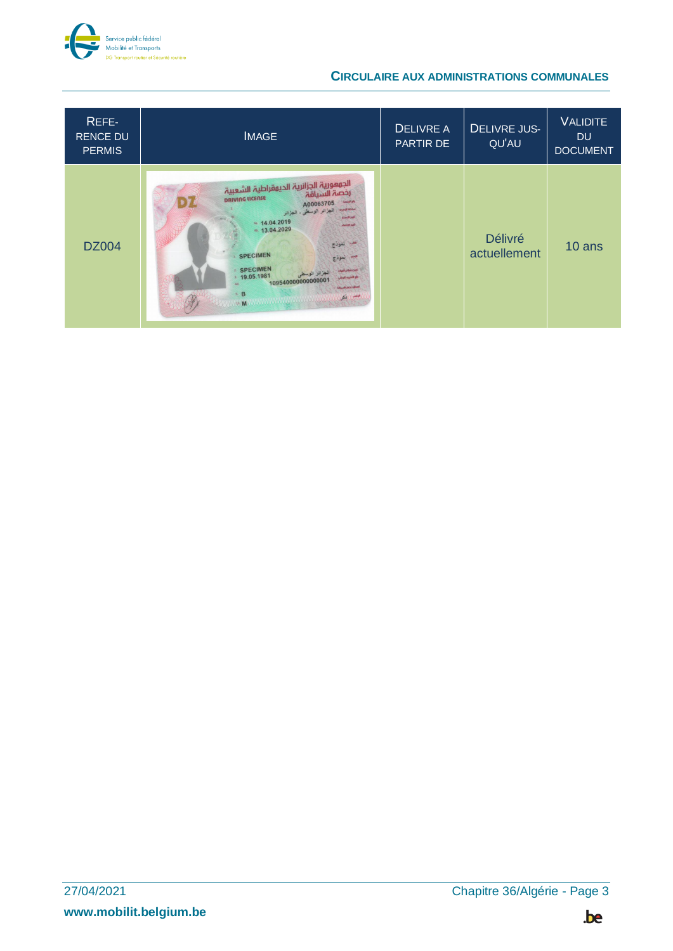

### **CIRCULAIRE AUX ADMINISTRATIONS COMMUNALES**

| REFE-<br><b>RENCE DU</b><br><b>PERMIS</b> | <b>IMAGE</b>                                                                                                                                                                                                                                                                                                                                                                                                                                  | <b>DELIVRE A</b><br>PARTIR DE | <b>DELIVRE JUS-</b><br>QU'AU   | <b>VALIDITE</b><br><b>DU</b><br><b>DOCUMENT</b> |
|-------------------------------------------|-----------------------------------------------------------------------------------------------------------------------------------------------------------------------------------------------------------------------------------------------------------------------------------------------------------------------------------------------------------------------------------------------------------------------------------------------|-------------------------------|--------------------------------|-------------------------------------------------|
| <b>DZ004</b>                              | الجمعورية الجزائرية الديمقراطية الشعبية<br>رخصة السياقة<br><b>DRIVING LICENSE</b><br>A00063705<br><b>Sheriff Abiles</b><br>الجزائر الوسطى - الجزائر<br><b>Cin Book</b><br>44.04.2019<br><b>Julia Map</b><br>48.13.04.2029<br>سمب نموذج<br><b>SPECIMEN</b><br>سم نموذج<br><b>SPECIMEN</b><br>أنتدع مقان فبيع<br>19.05.1981<br><b>Hogh stage Shop</b><br>10954000000000000<br>Adc:<br>صالك بخص السريقة<br>9. B<br>المكل<br><b>MANUSCRIPTION</b> |                               | <b>Délivré</b><br>actuellement | 10 ans                                          |

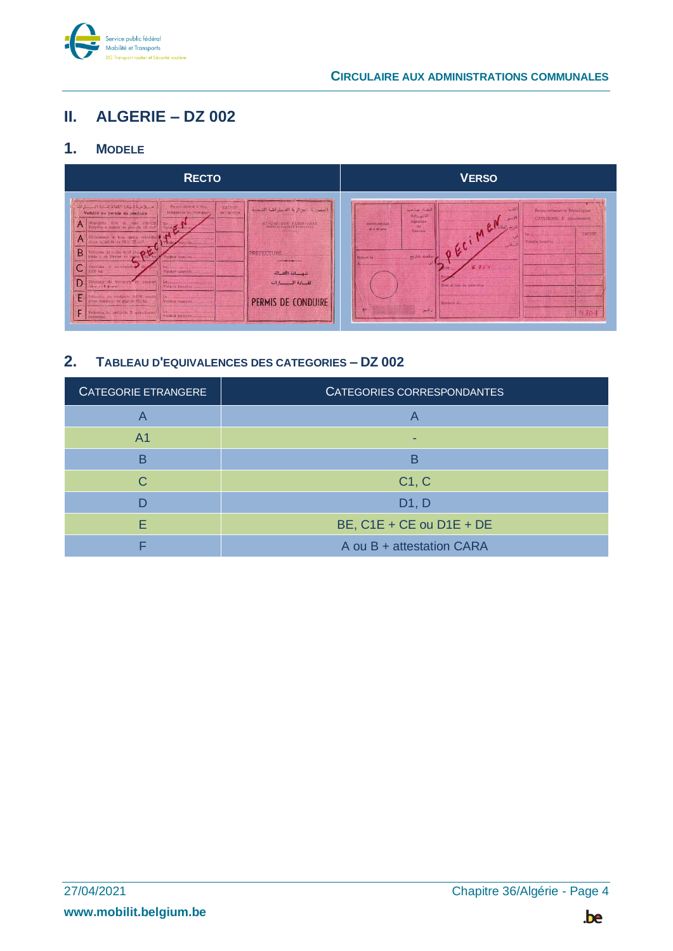

#### <span id="page-3-0"></span>ALGERIE - DZ 002 Ш.

#### <span id="page-3-1"></span> $1<sub>1</sub>$ **MODELE**



<span id="page-3-2"></span>

| CATEGORIE ETRANGERE | CATEGORIES CORRESPONDANTES   |
|---------------------|------------------------------|
|                     |                              |
| A <sub>1</sub>      |                              |
| B                   | В                            |
| C.                  | C1, C                        |
| D                   | D1, D                        |
| F                   | BE, $C1E + CE$ ou $D1E + DE$ |
|                     | A ou B + attestation CARA    |

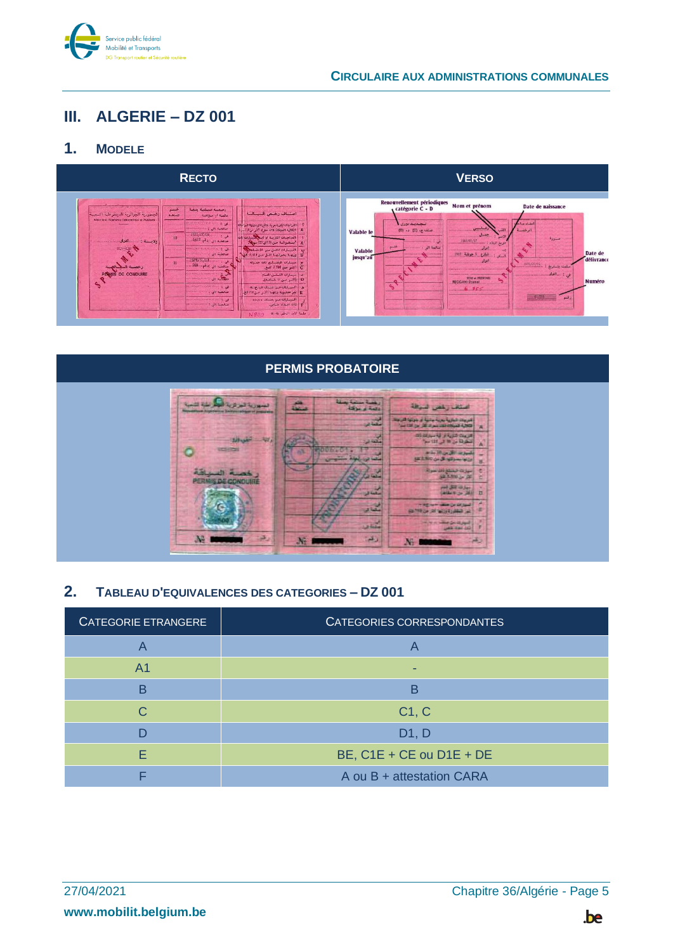

## <span id="page-4-0"></span>III. ALGERIE - DZ 001

#### <span id="page-4-1"></span> $1<sub>1</sub>$ **MODELE**





<span id="page-4-2"></span>

| CATEGORIE ETRANGERE | CATEGORIES CORRESPONDANTES |
|---------------------|----------------------------|
|                     |                            |
| A <sub>1</sub>      |                            |
| B                   | В                          |
| C                   | C1, C                      |
|                     | D1, D                      |
| F                   | BE, C1E + CE ou D1E + DE   |
|                     | A ou B + attestation CARA  |

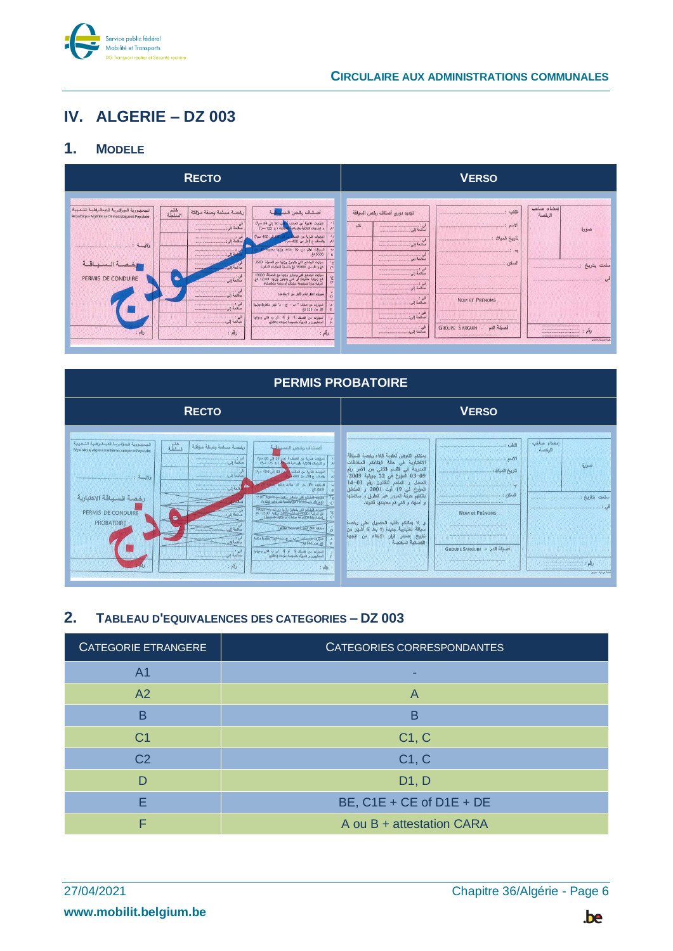

## <span id="page-5-0"></span>IV. ALGERIE - DZ 003

#### <span id="page-5-1"></span> $1<sub>1</sub>$ **MODELE**





<span id="page-5-2"></span>

| CATEGORIE ETRANGERE | CATEGORIES CORRESPONDANTES |
|---------------------|----------------------------|
| A <sub>1</sub>      |                            |
| A <sub>2</sub>      | A                          |
| B                   | В                          |
| C <sub>1</sub>      | C1, C                      |
| C <sub>2</sub>      | C1, C                      |
| D                   | D1, D                      |
| F                   | BE, $C1E + CE$ of D1E + DE |
| F                   | A ou B + attestation CARA  |